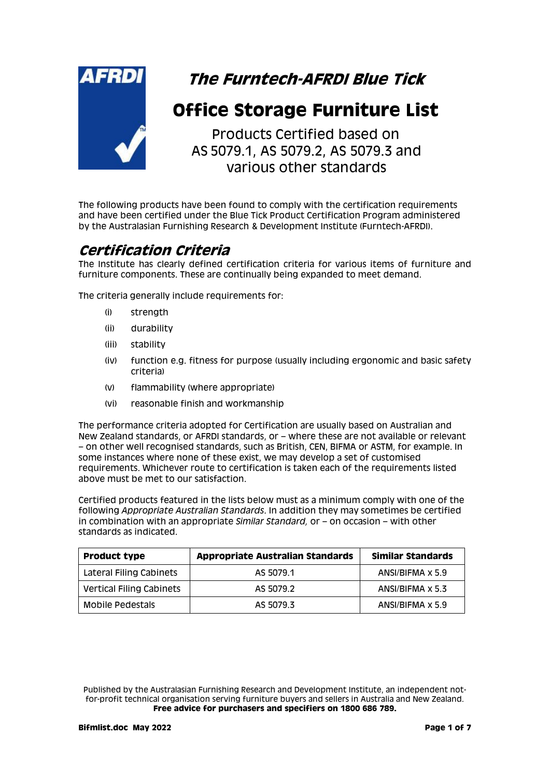

# **The Furntech-AFRDI Blue Tick**

# **Office Storage Furniture List**

Products Certified based on AS 5079.1, AS 5079.2, AS 5079.3 and various other standards

The following products have been found to comply with the certification requirements and have been certified under the Blue Tick Product Certification Program administered by the Australasian Furnishing Research & Development Institute (Furntech-AFRDI).

# **Certification Criteria**

The Institute has clearly defined certification criteria for various items of furniture and furniture components. These are continually being expanded to meet demand.

The criteria generally include requirements for:

- (i) strength
- (ii) durability
- (iii) stability
- (iv) function e.g. fitness for purpose (usually including ergonomic and basic safety criteria)
- (v) flammability (where appropriate)
- (vi) reasonable finish and workmanship

The performance criteria adopted for Certification are usually based on Australian and New Zealand standards, or AFRDI standards, or – where these are not available or relevant – on other well recognised standards, such as British, CEN, BIFMA or ASTM, for example. In some instances where none of these exist, we may develop a set of customised requirements. Whichever route to certification is taken each of the requirements listed above must be met to our satisfaction.

Certified products featured in the lists below must as a minimum comply with one of the following *Appropriate Australian Standards*. In addition they may sometimes be certified in combination with an appropriate *Similar Standard,* or – on occasion – with other standards as indicated.

| <b>Product type</b>             | <b>Appropriate Australian Standards</b> | Similar Standards |
|---------------------------------|-----------------------------------------|-------------------|
| Lateral Filing Cabinets         | AS 5079.1                               | ANSI/BIFMA x 5.9  |
| <b>Vertical Filing Cabinets</b> | AS 5079.2                               | ANSI/BIFMA x 5.3  |
| <b>Mobile Pedestals</b>         | AS 5079.3                               | ANSI/BIFMA x 5.9  |

Published by the Australasian Furnishing Research and Development Institute, an independent notfor-profit technical organisation serving furniture buyers and sellers in Australia and New Zealand. **Free advice for purchasers and specifiers on 1800 686 789.**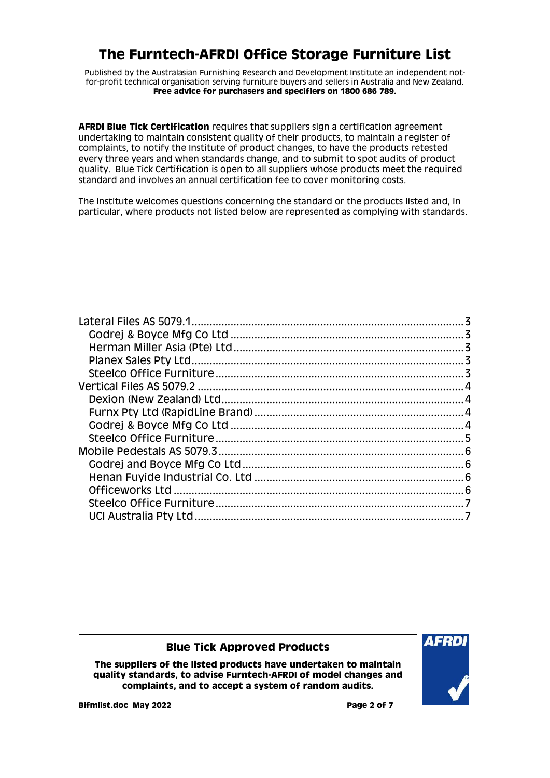Published by the Australasian Furnishing Research and Development Institute an independent notfor-profit technical organisation serving furniture buyers and sellers in Australia and New Zealand. **Free advice for purchasers and specifiers on 1800 686 789.**

**AFRDI Blue Tick Certification** requires that suppliers sign a certification agreement undertaking to maintain consistent quality of their products, to maintain a register of complaints, to notify the Institute of product changes, to have the products retested every three years and when standards change, and to submit to spot audits of product quality. Blue Tick Certification is open to all suppliers whose products meet the required standard and involves an annual certification fee to cover monitoring costs.

The Institute welcomes questions concerning the standard or the products listed and, in particular, where products not listed below are represented as complying with standards.

#### **Blue Tick Approved Products**

**The suppliers of the listed products have undertaken to maintain quality standards, to advise Furntech-AFRDI of model changes and complaints, and to accept a system of random audits.**

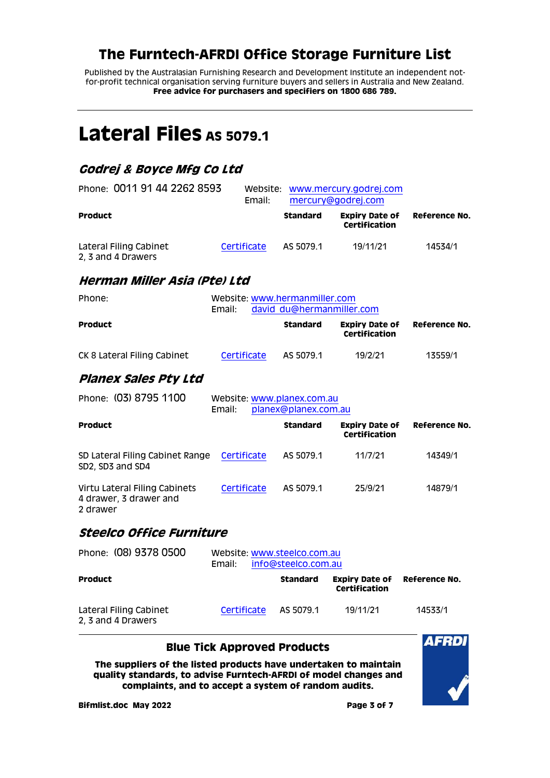Published by the Australasian Furnishing Research and Development Institute an independent notfor-profit technical organisation serving furniture buyers and sellers in Australia and New Zealand. **Free advice for purchasers and specifiers on 1800 686 789.**

# <span id="page-2-0"></span>Lateral Files As 5079.1

# <span id="page-2-1"></span>**Godrej & Boyce Mfg Co Ltd**

| Phone: 0011 91 44 2262 8593                  | Email:      | Website: www.mercury.godrej.com<br>mercury@godrej.com |                                        |               |
|----------------------------------------------|-------------|-------------------------------------------------------|----------------------------------------|---------------|
| <b>Product</b>                               |             | <b>Standard</b>                                       | <b>Expiry Date of</b><br>Certification | Reference No. |
| Lateral Filing Cabinet<br>2, 3 and 4 Drawers | Certificate | AS 5079.1                                             | 19/11/21                               | 14534/1       |

### <span id="page-2-2"></span>**Herman Miller Asia (Pte) Ltd**

| Phone:                      | Email:             | Website: www.hermanmiller.com<br>david du@hermanmiller.com |           |                                        |               |
|-----------------------------|--------------------|------------------------------------------------------------|-----------|----------------------------------------|---------------|
| Product                     |                    |                                                            | Standard  | <b>Expiry Date of</b><br>Certification | Reference No. |
| CK 8 Lateral Filing Cabinet | <b>Certificate</b> |                                                            | AS 5079.1 | 19/2/21                                | 13559/1       |

## <span id="page-2-3"></span>**Planex Sales Pty Ltd**

| Phone: (03) 8795 1100                                               | Website: www.planex.com.au<br>Email: | planex@planex.com.au |                                        |               |
|---------------------------------------------------------------------|--------------------------------------|----------------------|----------------------------------------|---------------|
| <b>Product</b>                                                      |                                      | <b>Standard</b>      | <b>Expiry Date of</b><br>Certification | Reference No. |
| SD Lateral Filing Cabinet Range<br>SD2, SD3 and SD4                 | Certificate                          | AS 5079.1            | 11/7/21                                | 14349/1       |
| Virtu Lateral Filing Cabinets<br>4 drawer, 3 drawer and<br>2 drawer | Certificate                          | AS 5079.1            | 25/9/21                                | 14879/1       |

### <span id="page-2-4"></span>**Steelco Office Furniture**

| Phone: (08) 9378 0500                        | Email:      | Website: www.steelco.com.au<br>info@steelco.com.au |                                        |               |  |
|----------------------------------------------|-------------|----------------------------------------------------|----------------------------------------|---------------|--|
| <b>Product</b>                               |             | <b>Standard</b>                                    | <b>Expiry Date of</b><br>Certification | Reference No. |  |
| Lateral Filing Cabinet<br>2, 3 and 4 Drawers | Certificate | AS 5079.1                                          | 19/11/21                               | 14533/1       |  |

#### **Blue Tick Approved Products**

**The suppliers of the listed products have undertaken to maintain quality standards, to advise Furntech-AFRDI of model changes and complaints, and to accept a system of random audits.**



**Bifmlist.doc May 2022 Page 3 of 7**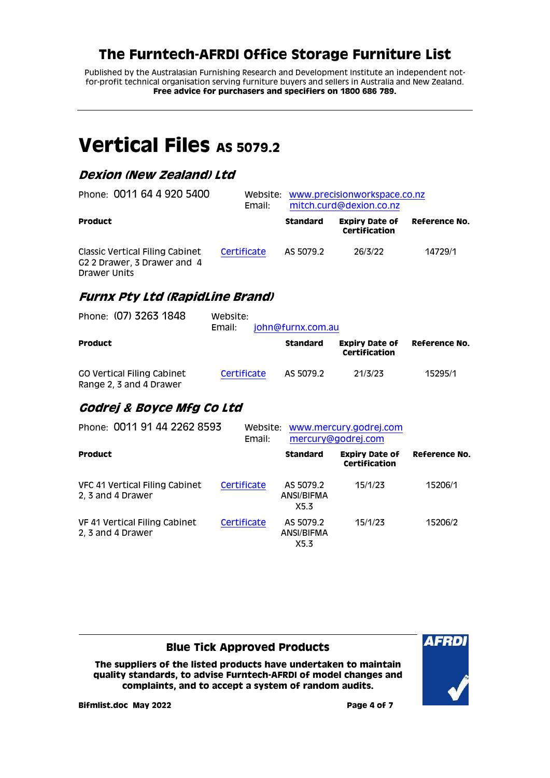Published by the Australasian Furnishing Research and Development Institute an independent notfor-profit technical organisation serving furniture buyers and sellers in Australia and New Zealand. **Free advice for purchasers and specifiers on 1800 686 789.**

# <span id="page-3-0"></span>**Vertical Files AS 5079.2**

## <span id="page-3-1"></span>**Dexion (New Zealand) Ltd**

| Phone: 0011 64 4 920 5400                                                                  | Email:      | Website: www.precisionworkspace.co.nz<br>mitch.curd@dexion.co.nz |                                        |               |
|--------------------------------------------------------------------------------------------|-------------|------------------------------------------------------------------|----------------------------------------|---------------|
| <b>Product</b>                                                                             |             | <b>Standard</b>                                                  | <b>Expiry Date of</b><br>Certification | Reference No. |
| Classic Vertical Filing Cabinet<br>G <sub>2</sub> 2 Drawer, 3 Drawer and 4<br>Drawer Units | Certificate | AS 5079.2                                                        | 26/3/22                                | 14729/1       |

## <span id="page-3-2"></span>**Furnx Pty Ltd (RapidLine Brand)**

| Phone: (07) 3263 1848                                        | Website:<br>Email: | john@furnx.com.au |                                        |               |
|--------------------------------------------------------------|--------------------|-------------------|----------------------------------------|---------------|
| <b>Product</b>                                               |                    | <b>Standard</b>   | <b>Expiry Date of</b><br>Certification | Reference No. |
| <b>CO Vertical Filing Cabinet</b><br>Range 2, 3 and 4 Drawer | Certificate        | AS 5079.2         | 21/3/23                                | 15295/1       |

## <span id="page-3-3"></span>**Godrej & Boyce Mfg Co Ltd**

| Phone: 0011 91 44 2262 8593                         | Website:<br>Email: | www.mercury.godrej.com<br>mercury@godrej.com |                                        |               |
|-----------------------------------------------------|--------------------|----------------------------------------------|----------------------------------------|---------------|
| <b>Product</b>                                      |                    | <b>Standard</b>                              | <b>Expiry Date of</b><br>Certification | Reference No. |
| VFC 41 Vertical Filing Cabinet<br>2, 3 and 4 Drawer | Certificate        | AS 5079.2<br>ANSI/BIFMA<br>X5.3              | 15/1/23                                | 15206/1       |
| VF 41 Vertical Filing Cabinet<br>2, 3 and 4 Drawer  | Certificate        | AS 5079.2<br>ANSI/BIFMA<br>X5.3              | 15/1/23                                | 15206/2       |

#### **Blue Tick Approved Products**

**The suppliers of the listed products have undertaken to maintain quality standards, to advise Furntech-AFRDI of model changes and complaints, and to accept a system of random audits.**



**Bifmlist.doc May 2022 Page 4 of 7**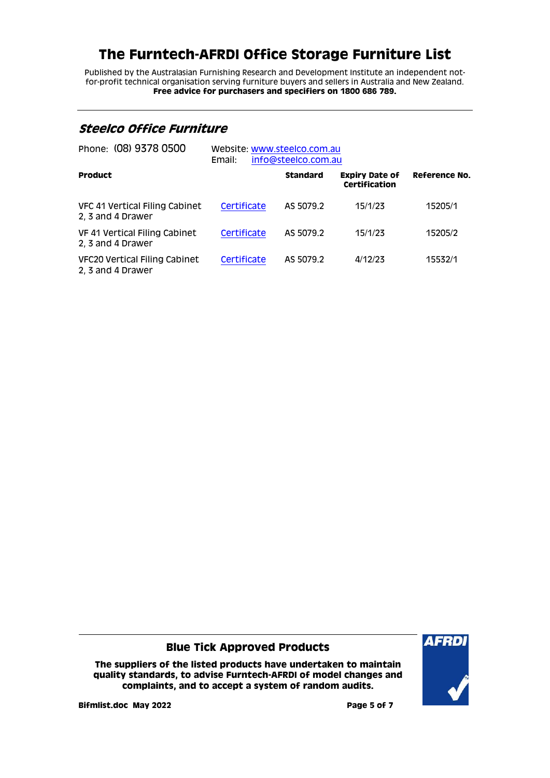Published by the Australasian Furnishing Research and Development Institute an independent notfor-profit technical organisation serving furniture buyers and sellers in Australia and New Zealand. **Free advice for purchasers and specifiers on 1800 686 789.**

## <span id="page-4-0"></span>**Steelco Office Furniture**

| Phone: (08) 9378 0500                               | Website: www.steelco.com.au<br>info@steelco.com.au<br>Email: |                 |                                        |               |
|-----------------------------------------------------|--------------------------------------------------------------|-----------------|----------------------------------------|---------------|
| <b>Product</b>                                      |                                                              | <b>Standard</b> | <b>Expiry Date of</b><br>Certification | Reference No. |
| VFC 41 Vertical Filing Cabinet<br>2, 3 and 4 Drawer | Certificate                                                  | AS 5079.2       | 15/1/23                                | 15205/1       |
| VF 41 Vertical Filing Cabinet<br>2, 3 and 4 Drawer  | Certificate                                                  | AS 5079.2       | 15/1/23                                | 15205/2       |
| VFC20 Vertical Filing Cabinet<br>2, 3 and 4 Drawer  | Certificate                                                  | AS 5079.2       | 4/12/23                                | 15532/1       |

#### **Blue Tick Approved Products**

**The suppliers of the listed products have undertaken to maintain quality standards, to advise Furntech-AFRDI of model changes and complaints, and to accept a system of random audits.**



**Bifmlist.doc May 2022 Page 5 of 7**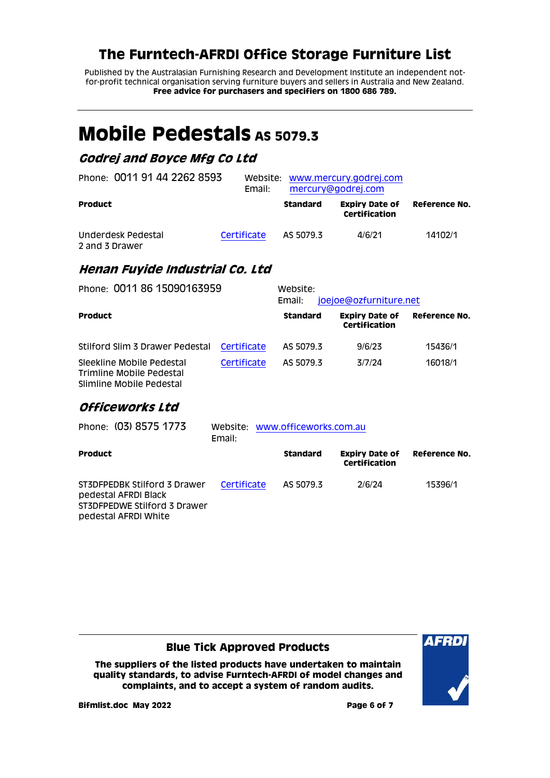Published by the Australasian Furnishing Research and Development Institute an independent notfor-profit technical organisation serving furniture buyers and sellers in Australia and New Zealand. **Free advice for purchasers and specifiers on 1800 686 789.**

# <span id="page-5-0"></span>**Mobile Pedestals** As 5079.3

## <span id="page-5-1"></span>**Godrej and Boyce Mfg Co Ltd**

| Phone: 0011 91 44 2262 8593          | Email:      |           | Website: www.mercury.godrej.com<br>mercury@godrej.com |               |
|--------------------------------------|-------------|-----------|-------------------------------------------------------|---------------|
| <b>Product</b>                       |             | Standard  | <b>Expiry Date of</b><br>Certification                | Reference No. |
| Underdesk Pedestal<br>2 and 3 Drawer | Certificate | AS 5079.3 | 4/6/21                                                | 14102/1       |

## <span id="page-5-2"></span>**Henan Fuyide Industrial Co. Ltd**

| Phone: 0011 86 15090163959                                                        |             | Website:<br>joejoe@ozfurniture.net<br>Email: |                                        |               |  |
|-----------------------------------------------------------------------------------|-------------|----------------------------------------------|----------------------------------------|---------------|--|
| <b>Product</b>                                                                    |             | <b>Standard</b>                              | <b>Expiry Date of</b><br>Certification | Reference No. |  |
| Stilford Slim 3 Drawer Pedestal                                                   | Certificate | AS 5079.3                                    | 9/6/23                                 | 15436/1       |  |
| Sleekline Mobile Pedestal<br>Trimline Mobile Pedestal<br>Slimline Mobile Pedestal | Certificate | AS 5079.3                                    | 3/7/24                                 | 16018/1       |  |

## <span id="page-5-3"></span>**Officeworks Ltd**

| Phone: (03) 8575 1773                                                                                        | Website: www.officeworks.com.au<br>Email: |                 |                                        |               |  |
|--------------------------------------------------------------------------------------------------------------|-------------------------------------------|-----------------|----------------------------------------|---------------|--|
| Product                                                                                                      |                                           | <b>Standard</b> | <b>Expiry Date of</b><br>Certification | Reference No. |  |
| ST3DFPEDBK Stilford 3 Drawer<br>pedestal AFRDI Black<br>ST3DFPEDWE Stilford 3 Drawer<br>pedestal AFRDI White | Certificate                               | AS 5079.3       | 2/6/24                                 | 15396/1       |  |

#### **Blue Tick Approved Products**

**The suppliers of the listed products have undertaken to maintain quality standards, to advise Furntech-AFRDI of model changes and complaints, and to accept a system of random audits.**